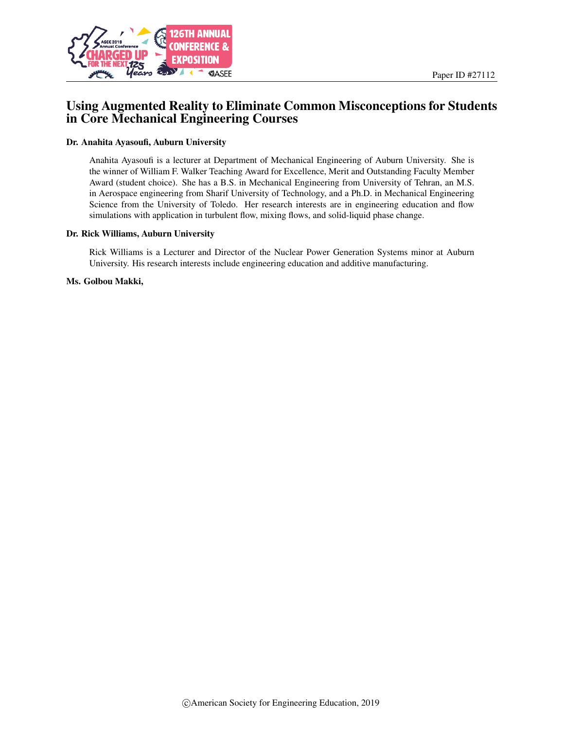

# Using Augmented Reality to Eliminate Common Misconceptions for Students in Core Mechanical Engineering Courses

#### Dr. Anahita Ayasoufi, Auburn University

Anahita Ayasoufi is a lecturer at Department of Mechanical Engineering of Auburn University. She is the winner of William F. Walker Teaching Award for Excellence, Merit and Outstanding Faculty Member Award (student choice). She has a B.S. in Mechanical Engineering from University of Tehran, an M.S. in Aerospace engineering from Sharif University of Technology, and a Ph.D. in Mechanical Engineering Science from the University of Toledo. Her research interests are in engineering education and flow simulations with application in turbulent flow, mixing flows, and solid-liquid phase change.

#### Dr. Rick Williams, Auburn University

Rick Williams is a Lecturer and Director of the Nuclear Power Generation Systems minor at Auburn University. His research interests include engineering education and additive manufacturing.

#### Ms. Golbou Makki,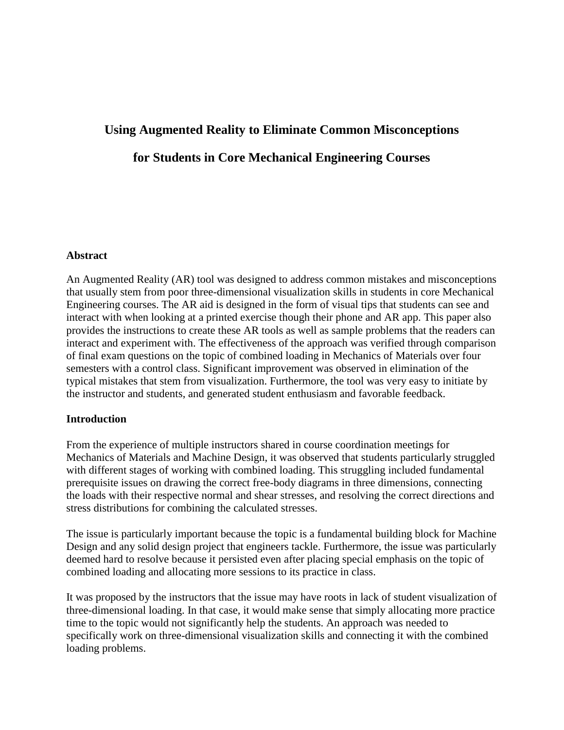# **Using Augmented Reality to Eliminate Common Misconceptions for Students in Core Mechanical Engineering Courses**

# **Abstract**

An Augmented Reality (AR) tool was designed to address common mistakes and misconceptions that usually stem from poor three-dimensional visualization skills in students in core Mechanical Engineering courses. The AR aid is designed in the form of visual tips that students can see and interact with when looking at a printed exercise though their phone and AR app. This paper also provides the instructions to create these AR tools as well as sample problems that the readers can interact and experiment with. The effectiveness of the approach was verified through comparison of final exam questions on the topic of combined loading in Mechanics of Materials over four semesters with a control class. Significant improvement was observed in elimination of the typical mistakes that stem from visualization. Furthermore, the tool was very easy to initiate by the instructor and students, and generated student enthusiasm and favorable feedback.

## **Introduction**

From the experience of multiple instructors shared in course coordination meetings for Mechanics of Materials and Machine Design, it was observed that students particularly struggled with different stages of working with combined loading. This struggling included fundamental prerequisite issues on drawing the correct free-body diagrams in three dimensions, connecting the loads with their respective normal and shear stresses, and resolving the correct directions and stress distributions for combining the calculated stresses.

The issue is particularly important because the topic is a fundamental building block for Machine Design and any solid design project that engineers tackle. Furthermore, the issue was particularly deemed hard to resolve because it persisted even after placing special emphasis on the topic of combined loading and allocating more sessions to its practice in class.

It was proposed by the instructors that the issue may have roots in lack of student visualization of three-dimensional loading. In that case, it would make sense that simply allocating more practice time to the topic would not significantly help the students. An approach was needed to specifically work on three-dimensional visualization skills and connecting it with the combined loading problems.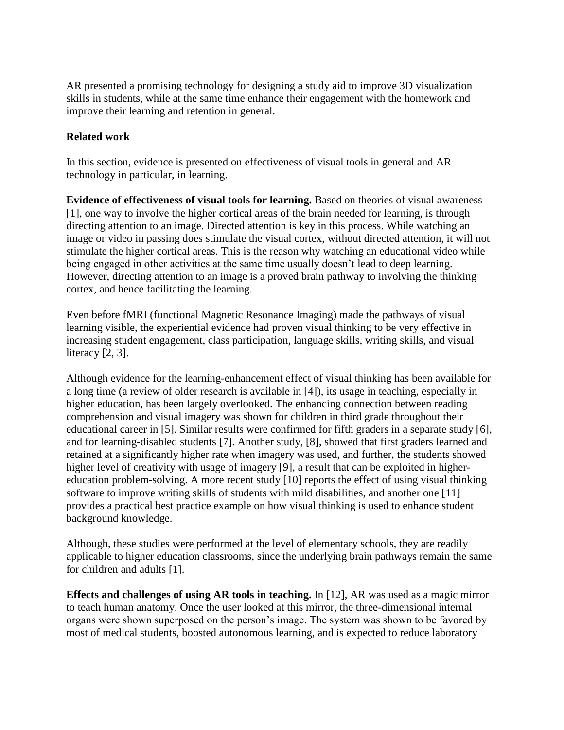AR presented a promising technology for designing a study aid to improve 3D visualization skills in students, while at the same time enhance their engagement with the homework and improve their learning and retention in general.

# **Related work**

In this section, evidence is presented on effectiveness of visual tools in general and AR technology in particular, in learning.

**Evidence of effectiveness of visual tools for learning.** Based on theories of visual awareness [1], one way to involve the higher cortical areas of the brain needed for learning, is through directing attention to an image. Directed attention is key in this process. While watching an image or video in passing does stimulate the visual cortex, without directed attention, it will not stimulate the higher cortical areas. This is the reason why watching an educational video while being engaged in other activities at the same time usually doesn't lead to deep learning. However, directing attention to an image is a proved brain pathway to involving the thinking cortex, and hence facilitating the learning.

Even before fMRI (functional Magnetic Resonance Imaging) made the pathways of visual learning visible, the experiential evidence had proven visual thinking to be very effective in increasing student engagement, class participation, language skills, writing skills, and visual literacy [2, 3].

Although evidence for the learning-enhancement effect of visual thinking has been available for a long time (a review of older research is available in [4]), its usage in teaching, especially in higher education, has been largely overlooked. The enhancing connection between reading comprehension and visual imagery was shown for children in third grade throughout their educational career in [5]. Similar results were confirmed for fifth graders in a separate study [6], and for learning-disabled students [7]. Another study, [8], showed that first graders learned and retained at a significantly higher rate when imagery was used, and further, the students showed higher level of creativity with usage of imagery [9], a result that can be exploited in highereducation problem-solving. A more recent study [10] reports the effect of using visual thinking software to improve writing skills of students with mild disabilities, and another one [11] provides a practical best practice example on how visual thinking is used to enhance student background knowledge.

Although, these studies were performed at the level of elementary schools, they are readily applicable to higher education classrooms, since the underlying brain pathways remain the same for children and adults [1].

**Effects and challenges of using AR tools in teaching.** In [12], AR was used as a magic mirror to teach human anatomy. Once the user looked at this mirror, the three-dimensional internal organs were shown superposed on the person's image. The system was shown to be favored by most of medical students, boosted autonomous learning, and is expected to reduce laboratory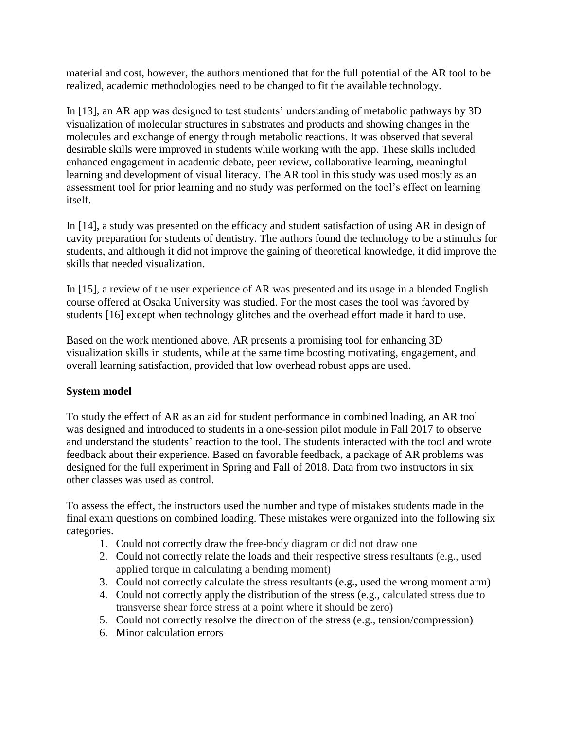material and cost, however, the authors mentioned that for the full potential of the AR tool to be realized, academic methodologies need to be changed to fit the available technology.

In [13], an AR app was designed to test students' understanding of metabolic pathways by 3D visualization of molecular structures in substrates and products and showing changes in the molecules and exchange of energy through metabolic reactions. It was observed that several desirable skills were improved in students while working with the app. These skills included enhanced engagement in academic debate, peer review, collaborative learning, meaningful learning and development of visual literacy. The AR tool in this study was used mostly as an assessment tool for prior learning and no study was performed on the tool's effect on learning itself.

In [14], a study was presented on the efficacy and student satisfaction of using AR in design of cavity preparation for students of dentistry. The authors found the technology to be a stimulus for students, and although it did not improve the gaining of theoretical knowledge, it did improve the skills that needed visualization.

In [15], a review of the user experience of AR was presented and its usage in a blended English course offered at Osaka University was studied. For the most cases the tool was favored by students [16] except when technology glitches and the overhead effort made it hard to use.

Based on the work mentioned above, AR presents a promising tool for enhancing 3D visualization skills in students, while at the same time boosting motivating, engagement, and overall learning satisfaction, provided that low overhead robust apps are used.

# **System model**

To study the effect of AR as an aid for student performance in combined loading, an AR tool was designed and introduced to students in a one-session pilot module in Fall 2017 to observe and understand the students' reaction to the tool. The students interacted with the tool and wrote feedback about their experience. Based on favorable feedback, a package of AR problems was designed for the full experiment in Spring and Fall of 2018. Data from two instructors in six other classes was used as control.

To assess the effect, the instructors used the number and type of mistakes students made in the final exam questions on combined loading. These mistakes were organized into the following six categories.

- 1. Could not correctly draw the free-body diagram or did not draw one
- 2. Could not correctly relate the loads and their respective stress resultants (e.g., used applied torque in calculating a bending moment)
- 3. Could not correctly calculate the stress resultants (e.g., used the wrong moment arm)
- 4. Could not correctly apply the distribution of the stress (e.g., calculated stress due to transverse shear force stress at a point where it should be zero)
- 5. Could not correctly resolve the direction of the stress (e.g., tension/compression)
- 6. Minor calculation errors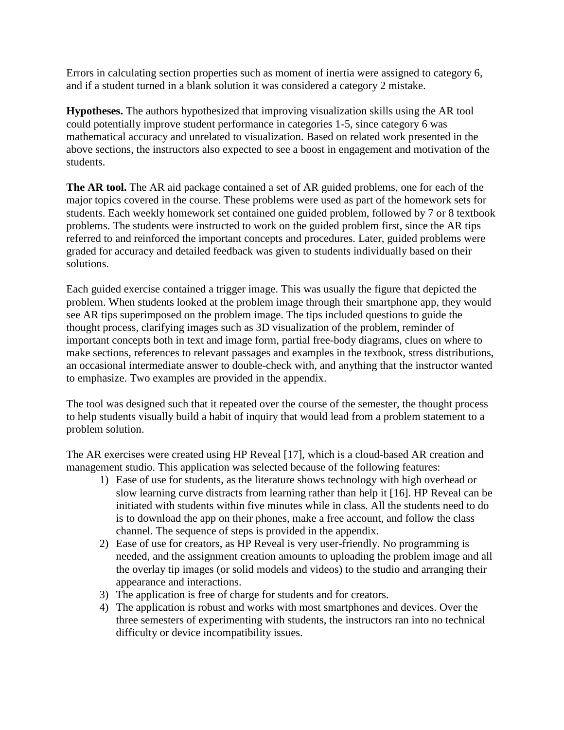Errors in calculating section properties such as moment of inertia were assigned to category 6, and if a student turned in a blank solution it was considered a category 2 mistake.

**Hypotheses.** The authors hypothesized that improving visualization skills using the AR tool could potentially improve student performance in categories 1-5, since category 6 was mathematical accuracy and unrelated to visualization. Based on related work presented in the above sections, the instructors also expected to see a boost in engagement and motivation of the students.

**The AR tool.** The AR aid package contained a set of AR guided problems, one for each of the major topics covered in the course. These problems were used as part of the homework sets for students. Each weekly homework set contained one guided problem, followed by 7 or 8 textbook problems. The students were instructed to work on the guided problem first, since the AR tips referred to and reinforced the important concepts and procedures. Later, guided problems were graded for accuracy and detailed feedback was given to students individually based on their solutions.

Each guided exercise contained a trigger image. This was usually the figure that depicted the problem. When students looked at the problem image through their smartphone app, they would see AR tips superimposed on the problem image. The tips included questions to guide the thought process, clarifying images such as 3D visualization of the problem, reminder of important concepts both in text and image form, partial free-body diagrams, clues on where to make sections, references to relevant passages and examples in the textbook, stress distributions, an occasional intermediate answer to double-check with, and anything that the instructor wanted to emphasize. Two examples are provided in the appendix.

The tool was designed such that it repeated over the course of the semester, the thought process to help students visually build a habit of inquiry that would lead from a problem statement to a problem solution.

The AR exercises were created using HP Reveal [17], which is a cloud-based AR creation and management studio. This application was selected because of the following features:

- 1) Ease of use for students, as the literature shows technology with high overhead or slow learning curve distracts from learning rather than help it [16]. HP Reveal can be initiated with students within five minutes while in class. All the students need to do is to download the app on their phones, make a free account, and follow the class channel. The sequence of steps is provided in the appendix.
- 2) Ease of use for creators, as HP Reveal is very user-friendly. No programming is needed, and the assignment creation amounts to uploading the problem image and all the overlay tip images (or solid models and videos) to the studio and arranging their appearance and interactions.
- 3) The application is free of charge for students and for creators.
- 4) The application is robust and works with most smartphones and devices. Over the three semesters of experimenting with students, the instructors ran into no technical difficulty or device incompatibility issues.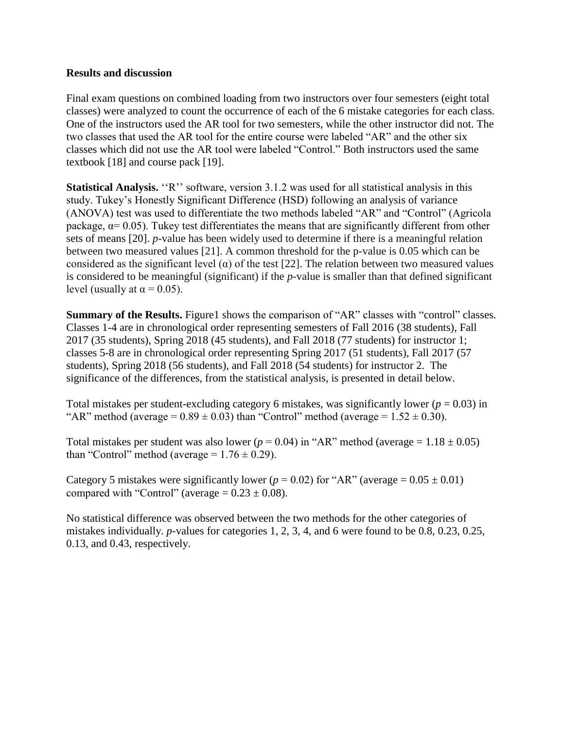## **Results and discussion**

Final exam questions on combined loading from two instructors over four semesters (eight total classes) were analyzed to count the occurrence of each of the 6 mistake categories for each class. One of the instructors used the AR tool for two semesters, while the other instructor did not. The two classes that used the AR tool for the entire course were labeled "AR" and the other six classes which did not use the AR tool were labeled "Control." Both instructors used the same textbook [18] and course pack [19].

**Statistical Analysis.** "R" software, version 3.1.2 was used for all statistical analysis in this study. Tukey's Honestly Significant Difference (HSD) following an analysis of variance (ANOVA) test was used to differentiate the two methods labeled "AR" and "Control" (Agricola package,  $\alpha$ = 0.05). Tukey test differentiates the means that are significantly different from other sets of means [20]. *p*-value has been widely used to determine if there is a meaningful relation between two measured values [21]. A common threshold for the p-value is 0.05 which can be considered as the significant level ( $\alpha$ ) of the test [22]. The relation between two measured values is considered to be meaningful (significant) if the *p-*value is smaller than that defined significant level (usually at  $\alpha = 0.05$ ).

**Summary of the Results.** Figure1 shows the comparison of "AR" classes with "control" classes. Classes 1-4 are in chronological order representing semesters of Fall 2016 (38 students), Fall 2017 (35 students), Spring 2018 (45 students), and Fall 2018 (77 students) for instructor 1; classes 5-8 are in chronological order representing Spring 2017 (51 students), Fall 2017 (57 students), Spring 2018 (56 students), and Fall 2018 (54 students) for instructor 2. The significance of the differences, from the statistical analysis, is presented in detail below.

Total mistakes per student-excluding category 6 mistakes, was significantly lower ( $p = 0.03$ ) in "AR" method (average =  $0.89 \pm 0.03$ ) than "Control" method (average =  $1.52 \pm 0.30$ ).

Total mistakes per student was also lower ( $p = 0.04$ ) in "AR" method (average =  $1.18 \pm 0.05$ ) than "Control" method (average  $= 1.76 \pm 0.29$ ).

Category 5 mistakes were significantly lower ( $p = 0.02$ ) for "AR" (average =  $0.05 \pm 0.01$ ) compared with "Control" (average  $= 0.23 \pm 0.08$ ).

No statistical difference was observed between the two methods for the other categories of mistakes individually. *p*-values for categories 1, 2, 3, 4, and 6 were found to be 0.8, 0.23, 0.25, 0.13, and 0.43, respectively.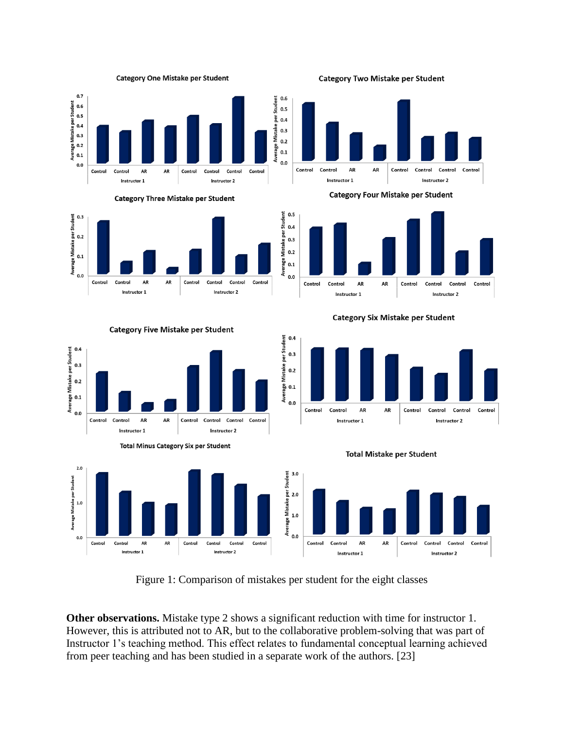





Mistake per Student  $0.5$  $0.4$  $0.3$  $0.2$ Average  $0.1$  $0.0$ 

**Category Two Mistake per Student** 



**Category Four Mistake per Student** 



**Category Six Mistake per Student** 





**Total Minus Category Six per Student** 



**Total Mistake per Student** 



Figure 1: Comparison of mistakes per student for the eight classes

**Other observations.** Mistake type 2 shows a significant reduction with time for instructor 1. However, this is attributed not to AR, but to the collaborative problem-solving that was part of Instructor 1's teaching method. This effect relates to fundamental conceptual learning achieved from peer teaching and has been studied in a separate work of the authors. [23]

**Category Five Mistake per Student**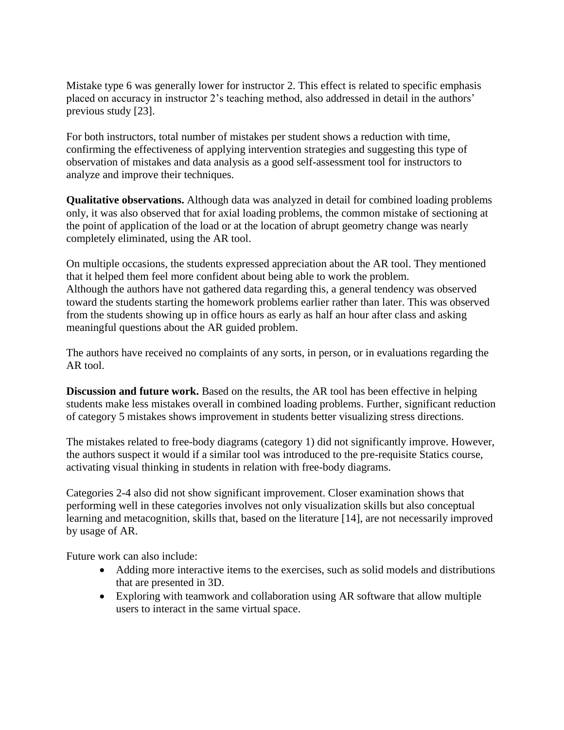Mistake type 6 was generally lower for instructor 2. This effect is related to specific emphasis placed on accuracy in instructor 2's teaching method, also addressed in detail in the authors' previous study [23].

For both instructors, total number of mistakes per student shows a reduction with time, confirming the effectiveness of applying intervention strategies and suggesting this type of observation of mistakes and data analysis as a good self-assessment tool for instructors to analyze and improve their techniques.

**Qualitative observations.** Although data was analyzed in detail for combined loading problems only, it was also observed that for axial loading problems, the common mistake of sectioning at the point of application of the load or at the location of abrupt geometry change was nearly completely eliminated, using the AR tool.

On multiple occasions, the students expressed appreciation about the AR tool. They mentioned that it helped them feel more confident about being able to work the problem. Although the authors have not gathered data regarding this, a general tendency was observed toward the students starting the homework problems earlier rather than later. This was observed from the students showing up in office hours as early as half an hour after class and asking meaningful questions about the AR guided problem.

The authors have received no complaints of any sorts, in person, or in evaluations regarding the AR tool.

**Discussion and future work.** Based on the results, the AR tool has been effective in helping students make less mistakes overall in combined loading problems. Further, significant reduction of category 5 mistakes shows improvement in students better visualizing stress directions.

The mistakes related to free-body diagrams (category 1) did not significantly improve. However, the authors suspect it would if a similar tool was introduced to the pre-requisite Statics course, activating visual thinking in students in relation with free-body diagrams.

Categories 2-4 also did not show significant improvement. Closer examination shows that performing well in these categories involves not only visualization skills but also conceptual learning and metacognition, skills that, based on the literature [14], are not necessarily improved by usage of AR.

Future work can also include:

- Adding more interactive items to the exercises, such as solid models and distributions that are presented in 3D.
- Exploring with teamwork and collaboration using AR software that allow multiple users to interact in the same virtual space.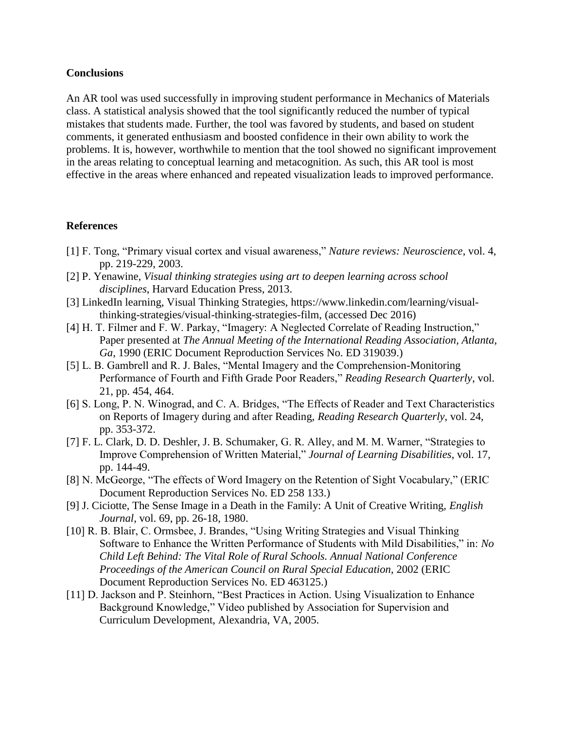### **Conclusions**

An AR tool was used successfully in improving student performance in Mechanics of Materials class. A statistical analysis showed that the tool significantly reduced the number of typical mistakes that students made. Further, the tool was favored by students, and based on student comments, it generated enthusiasm and boosted confidence in their own ability to work the problems. It is, however, worthwhile to mention that the tool showed no significant improvement in the areas relating to conceptual learning and metacognition. As such, this AR tool is most effective in the areas where enhanced and repeated visualization leads to improved performance.

# **References**

- [1] F. Tong, "Primary visual cortex and visual awareness," *Nature reviews: Neuroscience*, vol. 4, pp. 219-229, 2003.
- [2] P. Yenawine, *Visual thinking strategies using art to deepen learning across school disciplines*, Harvard Education Press, 2013.
- [3] LinkedIn learning, Visual Thinking Strategies, https://www.linkedin.com/learning/visualthinking-strategies/visual-thinking-strategies-film, (accessed Dec 2016)
- [4] H. T. Filmer and F. W. Parkay, "Imagery: A Neglected Correlate of Reading Instruction," Paper presented at *The Annual Meeting of the International Reading Association, Atlanta, Ga*, 1990 (ERIC Document Reproduction Services No. ED 319039.)
- [5] L. B. Gambrell and R. J. Bales, "Mental Imagery and the Comprehension-Monitoring Performance of Fourth and Fifth Grade Poor Readers," *Reading Research Quarterly*, vol. 21, pp. 454, 464.
- [6] S. Long, P. N. Winograd, and C. A. Bridges, "The Effects of Reader and Text Characteristics on Reports of Imagery during and after Reading, *Reading Research Quarterly*, vol. 24, pp. 353-372.
- [7] F. L. Clark, D. D. Deshler, J. B. Schumaker, G. R. Alley, and M. M. Warner, "Strategies to Improve Comprehension of Written Material," *Journal of Learning Disabilities*, vol. 17, pp. 144-49.
- [8] N. McGeorge, "The effects of Word Imagery on the Retention of Sight Vocabulary," (ERIC Document Reproduction Services No. ED 258 133.)
- [9] J. Ciciotte, The Sense Image in a Death in the Family: A Unit of Creative Writing, *English Journal*, vol. 69, pp. 26-18, 1980.
- [10] R. B. Blair, C. Ormsbee, J. Brandes, "Using Writing Strategies and Visual Thinking Software to Enhance the Written Performance of Students with Mild Disabilities," in: *No Child Left Behind: The Vital Role of Rural Schools. Annual National Conference Proceedings of the American Council on Rural Special Education*, 2002 (ERIC Document Reproduction Services No. ED 463125.)
- [11] D. Jackson and P. Steinhorn, "Best Practices in Action. Using Visualization to Enhance Background Knowledge," Video published by Association for Supervision and Curriculum Development, Alexandria, VA, 2005.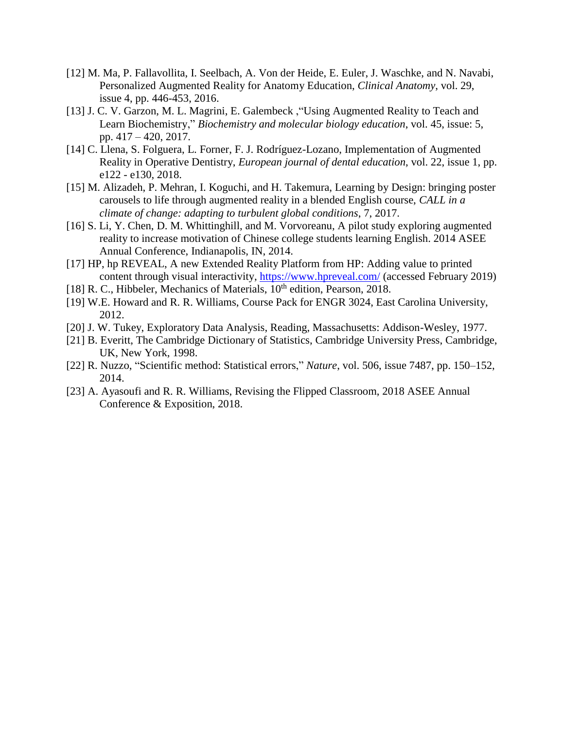- [12] M. Ma, P. Fallavollita, I. Seelbach, A. Von der Heide, E. Euler, J. Waschke, and N. Navabi, Personalized Augmented Reality for Anatomy Education, *Clinical Anatomy*, vol. 29, issue 4, pp. 446-453, 2016.
- [13] J. C. V. Garzon, M. L. Magrini, E. Galembeck, "Using Augmented Reality to Teach and Learn Biochemistry," *Biochemistry and molecular biology education*, vol. 45, issue: 5, pp. 417 – 420, 2017.
- [14] C. Llena, S. Folguera, L. Forner, F. J. Rodríguez-Lozano, Implementation of Augmented Reality in Operative Dentistry, *European journal of dental education*, vol. 22, issue 1, pp. e122 - e130, 2018.
- [15] M. Alizadeh, P. Mehran, I. Koguchi, and H. Takemura, Learning by Design: bringing poster carousels to life through augmented reality in a blended English course, *CALL in a climate of change: adapting to turbulent global conditions*, 7, 2017.
- [16] S. Li, Y. Chen, D. M. Whittinghill, and M. Vorvoreanu, A pilot study exploring augmented reality to increase motivation of Chinese college students learning English. 2014 ASEE Annual Conference, Indianapolis, IN, 2014.
- [17] HP, hp REVEAL, A new Extended Reality Platform from HP: Adding value to printed content through visual interactivity,<https://www.hpreveal.com/> (accessed February 2019)
- [18] R. C., Hibbeler, Mechanics of Materials,  $10<sup>th</sup>$  edition, Pearson, 2018.
- [19] W.E. Howard and R. R. Williams, Course Pack for ENGR 3024, East Carolina University, 2012.
- [20] J. W. Tukey, Exploratory Data Analysis, Reading, Massachusetts: Addison-Wesley, 1977.
- [21] B. Everitt, The Cambridge Dictionary of Statistics, Cambridge University Press, Cambridge, UK, New York, 1998.
- [22] R. Nuzzo, "Scientific method: Statistical errors," *Nature*, vol. 506, issue 7487, pp. 150–152, 2014.
- [23] A. Ayasoufi and R. R. Williams, Revising the Flipped Classroom, 2018 ASEE Annual Conference & Exposition, 2018.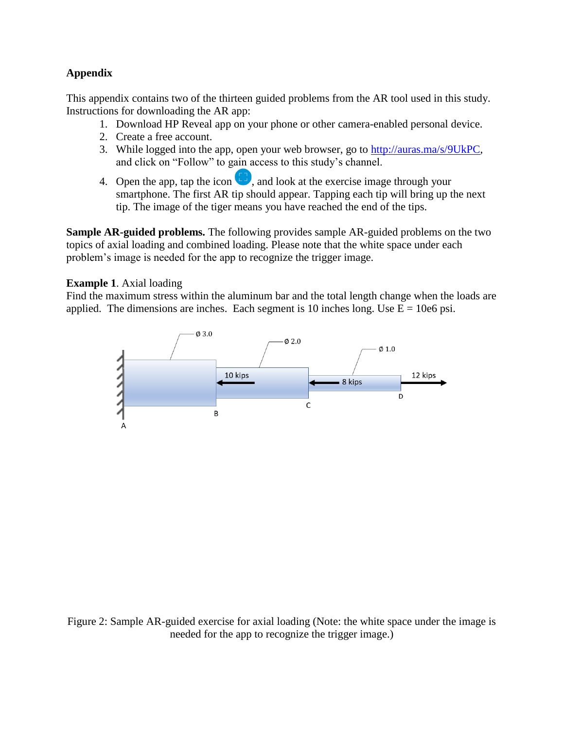# **Appendix**

This appendix contains two of the thirteen guided problems from the AR tool used in this study. Instructions for downloading the AR app:

- 1. Download HP Reveal app on your phone or other camera-enabled personal device.
- 2. Create a free account.
- 3. While logged into the app, open your web browser, go to [http://auras.ma/s/9UkPC,](http://auras.ma/s/9UkPC) and click on "Follow" to gain access to this study's channel.
- 4. Open the app, tap the icon  $\Box$ , and look at the exercise image through your smartphone. The first AR tip should appear. Tapping each tip will bring up the next tip. The image of the tiger means you have reached the end of the tips.

**Sample AR-guided problems.** The following provides sample AR-guided problems on the two topics of axial loading and combined loading. Please note that the white space under each problem's image is needed for the app to recognize the trigger image.

# **Example 1**. Axial loading

Find the maximum stress within the aluminum bar and the total length change when the loads are applied. The dimensions are inches. Each segment is 10 inches long. Use  $E = 10e6$  psi.



Figure 2: Sample AR-guided exercise for axial loading (Note: the white space under the image is needed for the app to recognize the trigger image.)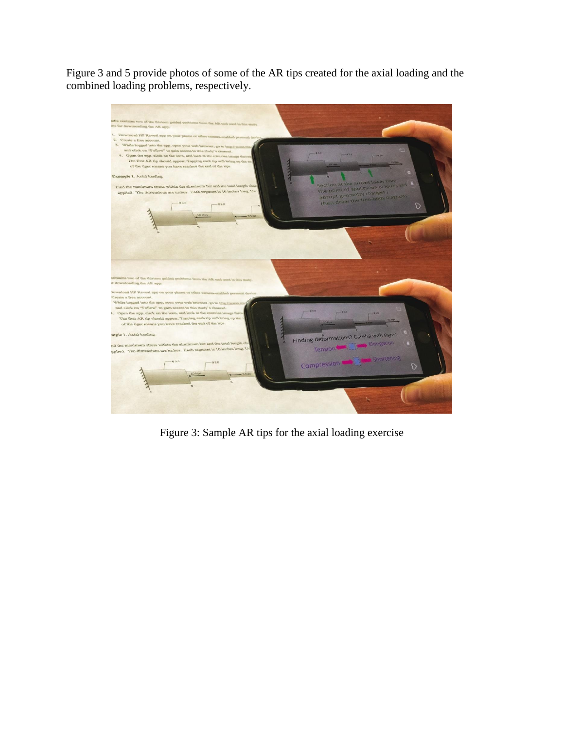Figure 3 and 5 provide photos of some of the AR tips created for the axial loading and the combined loading problems, respectively.



Figure 3: Sample AR tips for the axial loading exercise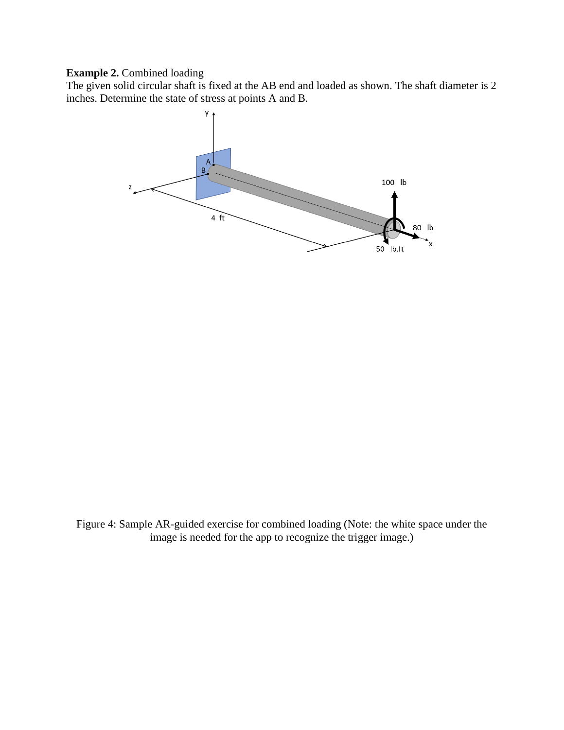# **Example 2.** Combined loading

The given solid circular shaft is fixed at the AB end and loaded as shown. The shaft diameter is 2 inches. Determine the state of stress at points A and B.



Figure 4: Sample AR-guided exercise for combined loading (Note: the white space under the image is needed for the app to recognize the trigger image.)